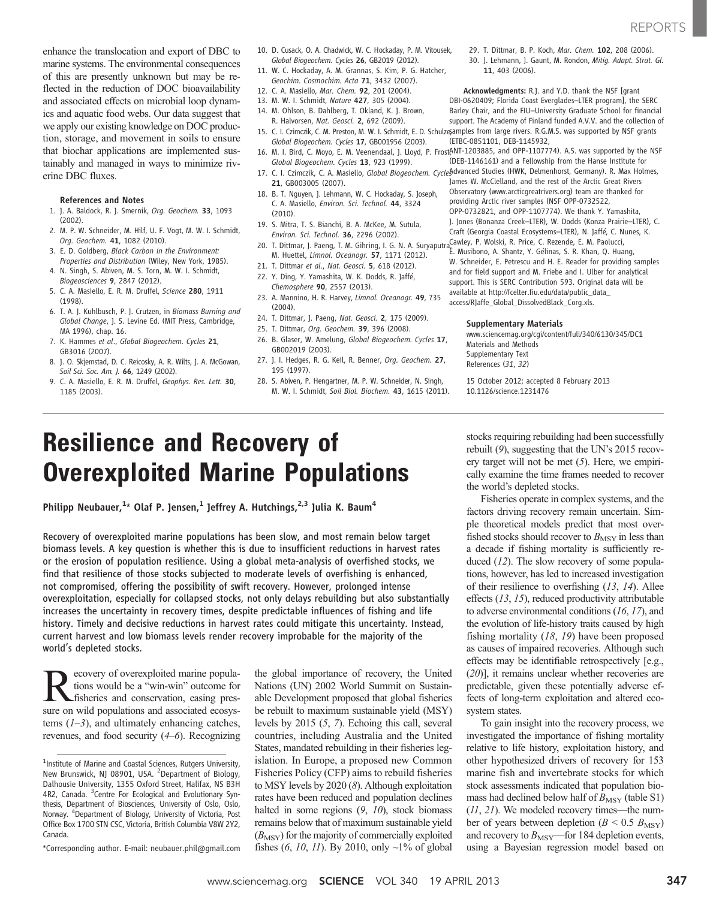enhance the translocation and export of DBC to marine systems. The environmental consequences of this are presently unknown but may be reflected in the reduction of DOC bioavailability and associated effects on microbial loop dynamics and aquatic food webs. Our data suggest that we apply our existing knowledge on DOC production, storage, and movement in soils to ensure that biochar applications are implemented sustainably and managed in ways to minimize riverine DBC fluxes.

## References and Notes

- 1. J. A. Baldock, R. J. Smernik, Org. Geochem. 33, 1093 (2002).
- 2. M. P. W. Schneider, M. Hilf, U. F. Vogt, M. W. I. Schmidt, Org. Geochem. 41, 1082 (2010).
- 3. E. D. Goldberg, Black Carbon in the Environment: Properties and Distribution (Wiley, New York, 1985).
- 4. N. Singh, S. Abiven, M. S. Torn, M. W. I. Schmidt, Biogeosciences 9, 2847 (2012).
- 5. C. A. Masiello, E. R. M. Druffel, Science 280, 1911 (1998).
- 6. T. A. J. Kuhlbusch, P. J. Crutzen, in Biomass Burning and Global Change, J. S. Levine Ed. (MIT Press, Cambridge, MA 1996), chap. 16.
- 7. K. Hammes et al., Global Biogeochem. Cycles 21, GB3016 (2007).
- 8. J. O. Skjemstad, D. C. Reicosky, A. R. Wilts, J. A. McGowan, Soil Sci. Soc. Am. J. 66, 1249 (2002).
- 9. C. A. Masiello, E. R. M. Druffel, Geophys. Res. Lett. 30, 1185 (2003).
- 10. D. Cusack, O. A. Chadwick, W. C. Hockaday, P. M. Vitousek, Global Biogeochem. Cycles 26, GB2019 (2012).
- 11. W. C. Hockaday, A. M. Grannas, S. Kim, P. G. Hatcher, Geochim. Cosmochim. Acta 71, 3432 (2007).
- 12. C. A. Masiello, Mar. Chem. 92, 201 (2004).
- 13. M. W. I. Schmidt, Nature 427, 305 (2004).
- 14. M. Ohlson, B. Dahlberg, T. Okland, K. J. Brown, R. Halvorsen, Nat. Geosci. 2, 692 (2009).
- 15. C. I. Czimczik, C. M. Preston, M. W. I. Schmidt, E. D. Schulze,amples from large rivers. R.G.M.S. was supported by NSF grants Global Biogeochem. Cycles 17, GB001956 (2003).
- Global Biogeochem. Cycles 13, 923 (1999).
- 21, GB003005 (2007).
- 18. B. T. Nguyen, J. Lehmann, W. C. Hockaday, S. Joseph, C. A. Masiello, Environ. Sci. Technol. 44, 3324 (2010).
- 19. S. Mitra, T. S. Bianchi, B. A. McKee, M. Sutula, Environ. Sci. Technol. 36, 2296 (2002).
- 20. T. Dittmar, J. Paeng, T. M. Gihring, I. G. N. A. Suryaputra, Cawley, P. Wolski, R. Price, C. Rezende, E. M. Paolucci, M. Huettel, Limnol. Oceanogr. 57, 1171 (2012).
- 21. T. Dittmar et al., Nat. Geosci. 5, 618 (2012).
- 22. Y. Ding, Y. Yamashita, W. K. Dodds, R. Jaffé, Chemosphere 90, 2557 (2013).
- 23. A. Mannino, H. R. Harvey, Limnol. Oceanogr. 49, 735 (2004).
- 24. T. Dittmar, I. Paeng, Nat. Geosci. 2, 175 (2009).
- 25. T. Dittmar, Org. Geochem. 39, 396 (2008).
- 26. B. Glaser, W. Amelung, Global Biogeochem. Cycles 17, GB002019 (2003).
- 27. I. I. Hedges, R. G. Keil, R. Benner, Org. Geochem. 27. 195 (1997).
- 28. S. Abiven, P. Hengartner, M. P. W. Schneider, N. Singh, M. W. I. Schmidt, Soil Biol. Biochem. 43, 1615 (2011).

29. T. Dittmar, B. P. Koch, Mar. Chem. 102, 208 (2006). 30. J. Lehmann, J. Gaunt, M. Rondon, Mitig. Adapt. Strat. Gl. 11, 403 (2006).

Acknowledgments: R.J. and Y.D. thank the NSF [grant DBI-0620409; Florida Coast Everglades–LTER program], the SERC Barley Chair, and the FIU–University Graduate School for financial support. The Academy of Finland funded A.V.V. and the collection of (ETBC-0851101, DEB-1145932,

16. M. I. Bird, C. Moyo, E. M. Veenendaal, J. Lloyd, P. FrostANT-1203885, and OPP-1107774). A.S. was supported by the NSF (DEB-1146161) and a Fellowship from the Hanse Institute for

- 17. C. I. Czimczik, C. A. Masiello, Global Biogeochem. Cycles dvanced Studies (HWK, Delmenhorst, Germany). R. Max Holmes, James W. McClelland, and the rest of the Arctic Great Rivers Observatory (www.arcticgreatrivers.org) team are thanked for providing Arctic river samples (NSF OPP-0732522, OPP-0732821, and OPP-1107774). We thank Y. Yamashita, J. Jones (Bonanza Creek–LTER), W. Dodds (Konza Prairie–LTER), C. Craft (Georgia Coastal Ecosystems–LTER), N. Jaffé, C. Nunes, K.
	- E. Musibono, A. Shantz, Y. Gélinas, S. R. Khan, Q. Huang, W. Schneider, E. Petrescu and H. E. Reader for providing samples and for field support and M. Friebe and I. Ulber for analytical support. This is SERC Contribution 593. Original data will be available at http://fcelter.fiu.edu/data/public\_data\_ access/RJaffe\_Global\_DissolvedBlack\_Corg.xls.

## Supplementary Materials

www.sciencemag.org/cgi/content/full/340/6130/345/DC1 Materials and Methods Supplementary Text References (31, 32)

15 October 2012; accepted 8 February 2013 10.1126/science.1231476

# Resilience and Recovery of Overexploited Marine Populations

Philipp Neubauer, $^{1\star}$  Olaf P. Jensen, $^{1}$  Jeffrey A. Hutchings, $^{2,3}$  Julia K. Baum $^{4}$ 

Recovery of overexploited marine populations has been slow, and most remain below target biomass levels. A key question is whether this is due to insufficient reductions in harvest rates or the erosion of population resilience. Using a global meta-analysis of overfished stocks, we find that resilience of those stocks subjected to moderate levels of overfishing is enhanced, not compromised, offering the possibility of swift recovery. However, prolonged intense overexploitation, especially for collapsed stocks, not only delays rebuilding but also substantially increases the uncertainty in recovery times, despite predictable influences of fishing and life history. Timely and decisive reductions in harvest rates could mitigate this uncertainty. Instead, current harvest and low biomass levels render recovery improbable for the majority of the world*'*s depleted stocks.

ecovery of overexploited marine populations would be a "win-win" outcome for fisheries and conservation, easing pressure on wild populations and associated ecosystems  $(1-3)$ , and ultimately enhancing catches, revenues, and food security (4–6). Recognizing

\*Corresponding author. E-mail: neubauer.phil@gmail.com

the global importance of recovery, the United Nations (UN) 2002 World Summit on Sustainable Development proposed that global fisheries be rebuilt to maximum sustainable yield (MSY) levels by 2015 (5, 7). Echoing this call, several countries, including Australia and the United States, mandated rebuilding in their fisheries legislation. In Europe, a proposed new Common Fisheries Policy (CFP) aims to rebuild fisheries to MSY levels by 2020 (8). Although exploitation rates have been reduced and population declines halted in some regions  $(9, 10)$ , stock biomass remains below that of maximum sustainable yield  $(B_{\text{MSY}})$  for the majority of commercially exploited fishes  $(6, 10, 11)$ . By 2010, only  $\sim$ 1% of global

stocks requiring rebuilding had been successfully rebuilt (9), suggesting that the UN's 2015 recovery target will not be met (5). Here, we empirically examine the time frames needed to recover the world's depleted stocks.

Fisheries operate in complex systems, and the factors driving recovery remain uncertain. Simple theoretical models predict that most overfished stocks should recover to  $B_{\text{MSY}}$  in less than a decade if fishing mortality is sufficiently reduced (12). The slow recovery of some populations, however, has led to increased investigation of their resilience to overfishing (13, 14). Allee effects (13, 15), reduced productivity attributable to adverse environmental conditions (16, 17), and the evolution of life-history traits caused by high fishing mortality  $(18, 19)$  have been proposed as causes of impaired recoveries. Although such effects may be identifiable retrospectively [e.g., (20)], it remains unclear whether recoveries are predictable, given these potentially adverse effects of long-term exploitation and altered ecosystem states.

To gain insight into the recovery process, we investigated the importance of fishing mortality relative to life history, exploitation history, and other hypothesized drivers of recovery for 153 marine fish and invertebrate stocks for which stock assessments indicated that population biomass had declined below half of  $B_{\text{MSY}}$  (table S1) (11, 21). We modeled recovery times—the number of years between depletion ( $B < 0.5$   $B_{\text{MSY}}$ ) and recovery to  $B_{\text{MSY}}$ —for 184 depletion events, using a Bayesian regression model based on

<sup>&</sup>lt;sup>1</sup>Institute of Marine and Coastal Sciences, Rutgers University, New Brunswick, NJ 08901, USA. <sup>2</sup>Department of Biology, Dalhousie University, 1355 Oxford Street, Halifax, NS B3H 4R2, Canada. <sup>3</sup>Centre For Ecological and Evolutionary Synthesis, Department of Biosciences, University of Oslo, Oslo, Norway. <sup>4</sup>Department of Biology, University of Victoria, Post Office Box 1700 STN CSC, Victoria, British Columbia V8W 2Y2, Canada.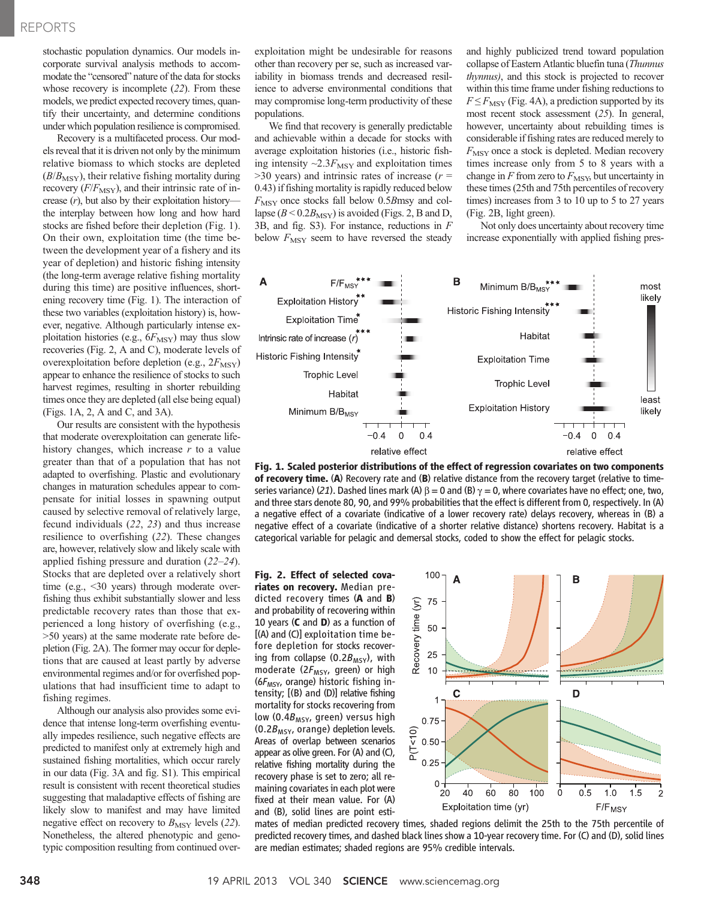## REPORTS

stochastic population dynamics. Our models incorporate survival analysis methods to accommodate the "censored" nature of the data for stocks whose recovery is incomplete (22). From these models, we predict expected recovery times, quantify their uncertainty, and determine conditions under which population resilience is compromised.

Recovery is a multifaceted process. Our models reveal that it is driven not only by the minimum relative biomass to which stocks are depleted  $(B/B<sub>MSY</sub>)$ , their relative fishing mortality during recovery  $(F/F_{\text{MSY}})$ , and their intrinsic rate of increase  $(r)$ , but also by their exploitation history the interplay between how long and how hard stocks are fished before their depletion (Fig. 1). On their own, exploitation time (the time between the development year of a fishery and its year of depletion) and historic fishing intensity (the long-term average relative fishing mortality during this time) are positive influences, shortening recovery time (Fig. 1). The interaction of these two variables (exploitation history) is, however, negative. Although particularly intense exploitation histories (e.g.,  $6F_{\text{MSY}}$ ) may thus slow recoveries (Fig. 2, A and C), moderate levels of overexploitation before depletion (e.g.,  $2F_{\text{MSY}}$ ) appear to enhance the resilience of stocks to such harvest regimes, resulting in shorter rebuilding times once they are depleted (all else being equal) (Figs. 1A, 2, A and C, and 3A).

Our results are consistent with the hypothesis that moderate overexploitation can generate lifehistory changes, which increase  $r$  to a value greater than that of a population that has not adapted to overfishing. Plastic and evolutionary changes in maturation schedules appear to compensate for initial losses in spawning output caused by selective removal of relatively large, fecund individuals (22, 23) and thus increase resilience to overfishing (22). These changes are, however, relatively slow and likely scale with applied fishing pressure and duration (22–24). Stocks that are depleted over a relatively short time (e.g., <30 years) through moderate overfishing thus exhibit substantially slower and less predictable recovery rates than those that experienced a long history of overfishing (e.g., >50 years) at the same moderate rate before depletion (Fig. 2A). The former may occur for depletions that are caused at least partly by adverse environmental regimes and/or for overfished populations that had insufficient time to adapt to fishing regimes.

Although our analysis also provides some evidence that intense long-term overfishing eventually impedes resilience, such negative effects are predicted to manifest only at extremely high and sustained fishing mortalities, which occur rarely in our data (Fig. 3A and fig. S1). This empirical result is consistent with recent theoretical studies suggesting that maladaptive effects of fishing are likely slow to manifest and may have limited negative effect on recovery to  $B_{\text{MSY}}$  levels (22). Nonetheless, the altered phenotypic and genotypic composition resulting from continued overexploitation might be undesirable for reasons other than recovery per se, such as increased variability in biomass trends and decreased resilience to adverse environmental conditions that may compromise long-term productivity of these populations.

We find that recovery is generally predictable and achievable within a decade for stocks with average exploitation histories (i.e., historic fishing intensity  $\sim 2.3 F_{\text{MSY}}$  and exploitation times  $>$ 30 years) and intrinsic rates of increase ( $r =$ 0.43) if fishing mortality is rapidly reduced below  $F_{\text{MSY}}$  once stocks fall below 0.5Bmsy and collapse ( $B < 0.2B_{\text{MSY}}$ ) is avoided (Figs. 2, B and D, 3B, and fig. S3). For instance, reductions in F below  $F_{\text{MSY}}$  seem to have reversed the steady and highly publicized trend toward population collapse of Eastern Atlantic bluefin tuna (Thunnus thynnus), and this stock is projected to recover within this time frame under fishing reductions to  $F \leq F_{\text{MSY}}$  (Fig. 4A), a prediction supported by its most recent stock assessment (25). In general, however, uncertainty about rebuilding times is considerable if fishing rates are reduced merely to  $F_{\text{MSY}}$  once a stock is depleted. Median recovery times increase only from 5 to 8 years with a change in  $F$  from zero to  $F_{\text{MSY}}$ , but uncertainty in these times (25th and 75th percentiles of recovery times) increases from 3 to 10 up to 5 to 27 years (Fig. 2B, light green).

Not only does uncertainty about recovery time increase exponentially with applied fishing pres-



Fig. 1. Scaled posterior distributions of the effect of regression covariates on two components of recovery time. (A) Recovery rate and (B) relative distance from the recovery target (relative to timeseries variance) (21). Dashed lines mark (A)  $\beta$  = 0 and (B)  $\gamma$  = 0, where covariates have no effect; one, two, and three stars denote 80, 90, and 99% probabilities that the effect is different from 0, respectively. In (A) a negative effect of a covariate (indicative of a lower recovery rate) delays recovery, whereas in (B) a negative effect of a covariate (indicative of a shorter relative distance) shortens recovery. Habitat is a categorical variable for pelagic and demersal stocks, coded to show the effect for pelagic stocks.

Fig. 2. Effect of selected covariates on recovery. Median predicted recovery times (A and B) and probability of recovering within 10 years  $(C \text{ and } D)$  as a function of [(A) and (C)] exploitation time before depletion for stocks recovering from collapse (0.2 $B_{MSY}$ ), with moderate ( $2F_{MSY}$ , green) or high  $(6F<sub>MSY</sub>$ , orange) historic fishing intensity; [(B) and (D)] relative fishing mortality for stocks recovering from low (0.4 $B_{\text{MSY}}$ , green) versus high  $(0.2B_{MSY}$ , orange) depletion levels. Areas of overlap between scenarios appear as olive green. For (A) and (C), relative fishing mortality during the recovery phase is set to zero; all remaining covariates in each plot were fixed at their mean value. For (A) and (B), solid lines are point esti-



mates of median predicted recovery times, shaded regions delimit the 25th to the 75th percentile of predicted recovery times, and dashed black lines show a 10-year recovery time. For (C) and (D), solid lines are median estimates; shaded regions are 95% credible intervals.